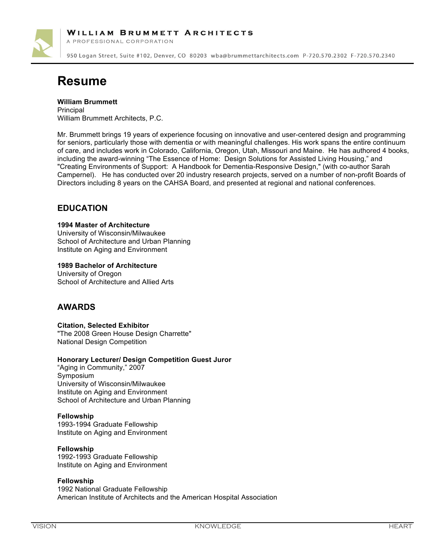

A PROFESSIONAL CORPORATION

950 Logan Street, Suite #102, Denver, CO 80203 wba@brummettarchitects.com P-720.570.2302 F-720.570.2340

# **Resume**

**William Brummett**

**Principal** William Brummett Architects, P.C.

Mr. Brummett brings 19 years of experience focusing on innovative and user-centered design and programming for seniors, particularly those with dementia or with meaningful challenges. His work spans the entire continuum of care, and includes work in Colorado, California, Oregon, Utah, Missouri and Maine. He has authored 4 books, including the award-winning "The Essence of Home: Design Solutions for Assisted Living Housing," and "Creating Environments of Support: A Handbook for Dementia-Responsive Design," (with co-author Sarah Campernel). He has conducted over 20 industry research projects, served on a number of non-profit Boards of Directors including 8 years on the CAHSA Board, and presented at regional and national conferences.

## **EDUCATION**

#### **1994 Master of Architecture**

University of Wisconsin/Milwaukee School of Architecture and Urban Planning Institute on Aging and Environment

**1989 Bachelor of Architecture**

University of Oregon School of Architecture and Allied Arts

## **AWARDS**

#### **Citation, Selected Exhibitor**

"The 2008 Green House Design Charrette" National Design Competition

#### **Honorary Lecturer/ Design Competition Guest Juror**

"Aging in Community," 2007 Symposium University of Wisconsin/Milwaukee Institute on Aging and Environment School of Architecture and Urban Planning

#### **Fellowship**

1993-1994 Graduate Fellowship Institute on Aging and Environment

#### **Fellowship**

1992-1993 Graduate Fellowship Institute on Aging and Environment

#### **Fellowship**

1992 National Graduate Fellowship American Institute of Architects and the American Hospital Association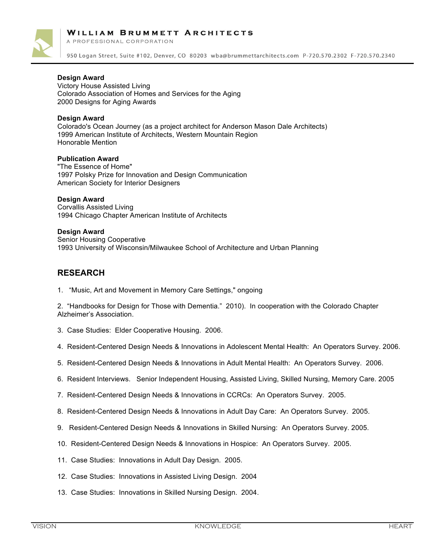

A PROFESSIONAL CORPORATION

950 Logan Street, Suite #102, Denver, CO 80203 wba@brummettarchitects.com P-720.570.2302 F-720.570.2340

#### **Design Award**

Victory House Assisted Living Colorado Association of Homes and Services for the Aging 2000 Designs for Aging Awards

#### **Design Award**

Colorado's Ocean Journey (as a project architect for Anderson Mason Dale Architects) 1999 American Institute of Architects, Western Mountain Region Honorable Mention

#### **Publication Award**

"The Essence of Home" 1997 Polsky Prize for Innovation and Design Communication American Society for Interior Designers

#### **Design Award**

Corvallis Assisted Living 1994 Chicago Chapter American Institute of Architects

#### **Design Award**

Senior Housing Cooperative 1993 University of Wisconsin/Milwaukee School of Architecture and Urban Planning

## **RESEARCH**

1. "Music, Art and Movement in Memory Care Settings," ongoing

2. "Handbooks for Design for Those with Dementia." 2010). In cooperation with the Colorado Chapter Alzheimer's Association.

- 3. Case Studies: Elder Cooperative Housing. 2006.
- 4. Resident-Centered Design Needs & Innovations in Adolescent Mental Health: An Operators Survey. 2006.
- 5. Resident-Centered Design Needs & Innovations in Adult Mental Health: An Operators Survey. 2006.
- 6. Resident Interviews. Senior Independent Housing, Assisted Living, Skilled Nursing, Memory Care. 2005
- 7. Resident-Centered Design Needs & Innovations in CCRCs: An Operators Survey. 2005.
- 8. Resident-Centered Design Needs & Innovations in Adult Day Care: An Operators Survey. 2005.
- 9. Resident-Centered Design Needs & Innovations in Skilled Nursing: An Operators Survey. 2005.
- 10. Resident-Centered Design Needs & Innovations in Hospice: An Operators Survey. 2005.
- 11. Case Studies: Innovations in Adult Day Design. 2005.
- 12. Case Studies: Innovations in Assisted Living Design. 2004
- 13. Case Studies: Innovations in Skilled Nursing Design. 2004.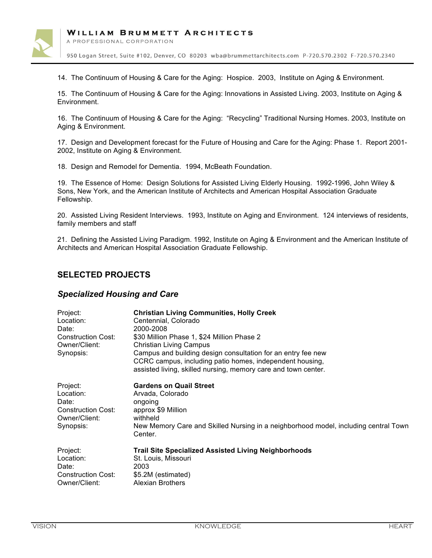

A PROFESSIONAL CORPORATION

950 Logan Street, Suite #102, Denver, CO 80203 wba@brummettarchitects.com P-720.570.2302 F-720.570.2340

14. The Continuum of Housing & Care for the Aging: Hospice. 2003, Institute on Aging & Environment.

15. The Continuum of Housing & Care for the Aging: Innovations in Assisted Living. 2003, Institute on Aging & Environment.

16. The Continuum of Housing & Care for the Aging: "Recycling" Traditional Nursing Homes. 2003, Institute on Aging & Environment.

17. Design and Development forecast for the Future of Housing and Care for the Aging: Phase 1. Report 2001- 2002, Institute on Aging & Environment.

18. Design and Remodel for Dementia. 1994, McBeath Foundation.

19. The Essence of Home: Design Solutions for Assisted Living Elderly Housing. 1992-1996, John Wiley & Sons, New York, and the American Institute of Architects and American Hospital Association Graduate Fellowship.

20. Assisted Living Resident Interviews. 1993, Institute on Aging and Environment. 124 interviews of residents, family members and staff

21. Defining the Assisted Living Paradigm. 1992, Institute on Aging & Environment and the American Institute of Architects and American Hospital Association Graduate Fellowship.

## **SELECTED PROJECTS**

## *Specialized Housing and Care*

| Project:<br>Location:<br>Date:<br><b>Construction Cost:</b><br>Owner/Client:<br>Synopsis: | <b>Christian Living Communities, Holly Creek</b><br>Centennial, Colorado<br>2000-2008<br>\$30 Million Phase 1, \$24 Million Phase 2<br><b>Christian Living Campus</b><br>Campus and building design consultation for an entry fee new<br>CCRC campus, including patio homes, independent housing,<br>assisted living, skilled nursing, memory care and town center. |
|-------------------------------------------------------------------------------------------|---------------------------------------------------------------------------------------------------------------------------------------------------------------------------------------------------------------------------------------------------------------------------------------------------------------------------------------------------------------------|
| Project:<br>Location:<br>Date:<br><b>Construction Cost:</b><br>Owner/Client:<br>Synopsis: | <b>Gardens on Quail Street</b><br>Arvada, Colorado<br>ongoing<br>approx \$9 Million<br>withheld<br>New Memory Care and Skilled Nursing in a neighborhood model, including central Town<br>Center.                                                                                                                                                                   |
| Project:<br>Location:<br>Date:<br><b>Construction Cost:</b><br>Owner/Client:              | <b>Trail Site Specialized Assisted Living Neighborhoods</b><br>St. Louis, Missouri<br>2003<br>\$5.2M (estimated)<br>Alexian Brothers                                                                                                                                                                                                                                |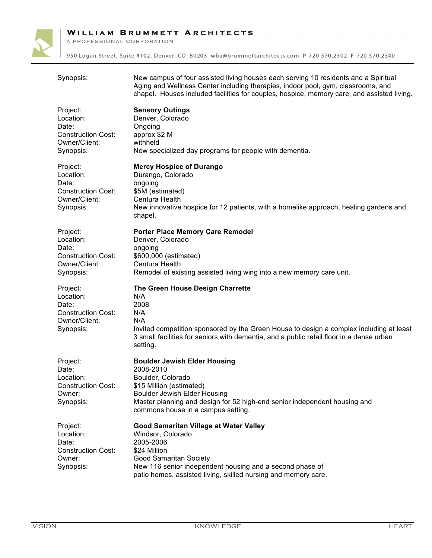

A PROFESSIONAL CORPORATION

| Synopsis:                                                                                 | New campus of four assisted living houses each serving 10 residents and a Spiritual<br>Aging and Wellness Center including therapies, indoor pool, gym, classrooms, and<br>chapel. Houses included facilities for couples, hospice, memory care, and assisted living. |
|-------------------------------------------------------------------------------------------|-----------------------------------------------------------------------------------------------------------------------------------------------------------------------------------------------------------------------------------------------------------------------|
| Project:<br>Location:<br>Date:<br><b>Construction Cost:</b><br>Owner/Client:<br>Synopsis: | <b>Sensory Outings</b><br>Denver, Colorado<br>Ongoing<br>approx \$2 M<br>withheld<br>New specialized day programs for people with dementia.                                                                                                                           |
| Project:<br>Location:<br>Date:<br><b>Construction Cost:</b><br>Owner/Client:<br>Synopsis: | <b>Mercy Hospice of Durango</b><br>Durango, Colorado<br>ongoing<br>\$5M (estimated)<br>Centura Health<br>New innovative hospice for 12 patients, with a homelike approach, healing gardens and<br>chapel.                                                             |
| Project:<br>Location:<br>Date:<br><b>Construction Cost:</b><br>Owner/Client:<br>Synopsis: | <b>Porter Place Memory Care Remodel</b><br>Denver, Colorado<br>ongoing<br>\$600,000 (estimated)<br>Centura Health<br>Remodel of existing assisted living wing into a new memory care unit.                                                                            |
| Project:<br>Location:<br>Date:<br><b>Construction Cost:</b><br>Owner/Client:<br>Synopsis: | The Green House Design Charrette<br>N/A<br>2008<br>N/A<br>N/A<br>Invited competition sponsored by the Green House to design a complex including at least<br>3 small facilities for seniors with dementia, and a public retail floor in a dense urban<br>setting.      |
| Project:<br>Date:<br>Location:<br><b>Construction Cost:</b><br>Owner:<br>Synopsis:        | <b>Boulder Jewish Elder Housing</b><br>2008-2010<br>Boulder, Colorado<br>\$15 Million (estimated)<br><b>Boulder Jewish Elder Housing</b><br>Master planning and design for 52 high-end senior independent housing and<br>commons house in a campus setting.           |
| Project:<br>Location:<br>Date:<br><b>Construction Cost:</b><br>Owner:<br>Synopsis:        | Good Samaritan Village at Water Valley<br>Windsor, Colorado<br>2005-2006<br>\$24 Million<br>Good Samaritan Society<br>New 116 senior independent housing and a second phase of<br>patio homes, assisted living, skilled nursing and memory care.                      |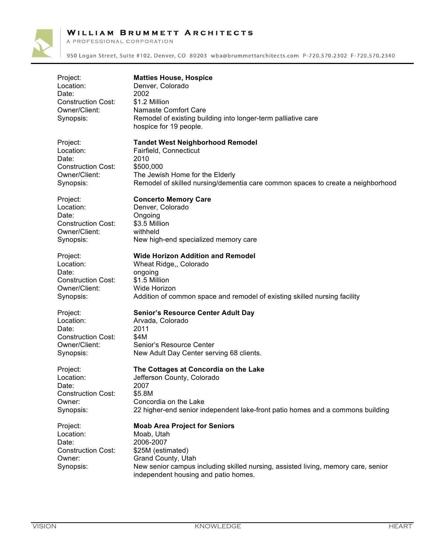A PROFESSIONAL CORPORATION



| Project:<br>Location:<br>Date:<br><b>Construction Cost:</b><br>Owner/Client:<br>Synopsis: | <b>Matties House, Hospice</b><br>Denver, Colorado<br>2002<br>\$1.2 Million<br>Namaste Comfort Care<br>Remodel of existing building into longer-term palliative care<br>hospice for 19 people.                                           |
|-------------------------------------------------------------------------------------------|-----------------------------------------------------------------------------------------------------------------------------------------------------------------------------------------------------------------------------------------|
| Project:                                                                                  | <b>Tandet West Neighborhood Remodel</b>                                                                                                                                                                                                 |
| Location:                                                                                 | Fairfield, Connecticut                                                                                                                                                                                                                  |
| Date:                                                                                     | 2010                                                                                                                                                                                                                                    |
| <b>Construction Cost:</b>                                                                 | \$500,000                                                                                                                                                                                                                               |
| Owner/Client:                                                                             | The Jewish Home for the Elderly                                                                                                                                                                                                         |
| Synopsis:                                                                                 | Remodel of skilled nursing/dementia care common spaces to create a neighborhood                                                                                                                                                         |
| Project:                                                                                  | <b>Concerto Memory Care</b>                                                                                                                                                                                                             |
| Location:                                                                                 | Denver, Colorado                                                                                                                                                                                                                        |
| Date:                                                                                     | Ongoing                                                                                                                                                                                                                                 |
| <b>Construction Cost:</b>                                                                 | \$3.5 Million                                                                                                                                                                                                                           |
| Owner/Client:                                                                             | withheld                                                                                                                                                                                                                                |
| Synopsis:                                                                                 | New high-end specialized memory care                                                                                                                                                                                                    |
| Project:                                                                                  | <b>Wide Horizon Addition and Remodel</b>                                                                                                                                                                                                |
| Location:                                                                                 | Wheat Ridge,, Colorado                                                                                                                                                                                                                  |
| Date:                                                                                     | ongoing                                                                                                                                                                                                                                 |
| <b>Construction Cost:</b>                                                                 | \$1.5 Million                                                                                                                                                                                                                           |
| Owner/Client:                                                                             | Wide Horizon                                                                                                                                                                                                                            |
| Synopsis:                                                                                 | Addition of common space and remodel of existing skilled nursing facility                                                                                                                                                               |
| Project:                                                                                  | <b>Senior's Resource Center Adult Day</b>                                                                                                                                                                                               |
| Location:                                                                                 | Arvada, Colorado                                                                                                                                                                                                                        |
| Date:                                                                                     | 2011                                                                                                                                                                                                                                    |
| <b>Construction Cost:</b>                                                                 | \$4M                                                                                                                                                                                                                                    |
| Owner/Client:                                                                             | Senior's Resource Center                                                                                                                                                                                                                |
| Synopsis:                                                                                 | New Adult Day Center serving 68 clients.                                                                                                                                                                                                |
| Project:                                                                                  | The Cottages at Concordia on the Lake                                                                                                                                                                                                   |
| Location:                                                                                 | Jefferson County, Colorado                                                                                                                                                                                                              |
| Date:                                                                                     | 2007                                                                                                                                                                                                                                    |
| <b>Construction Cost:</b>                                                                 | \$5.8M                                                                                                                                                                                                                                  |
| Owner:                                                                                    | Concordia on the Lake                                                                                                                                                                                                                   |
| Synopsis:                                                                                 | 22 higher-end senior independent lake-front patio homes and a commons building                                                                                                                                                          |
| Project:<br>Location:<br>Date:<br><b>Construction Cost:</b><br>Owner:<br>Synopsis:        | <b>Moab Area Project for Seniors</b><br>Moab, Utah<br>2006-2007<br>\$25M (estimated)<br>Grand County, Utah<br>New senior campus including skilled nursing, assisted living, memory care, senior<br>independent housing and patio homes. |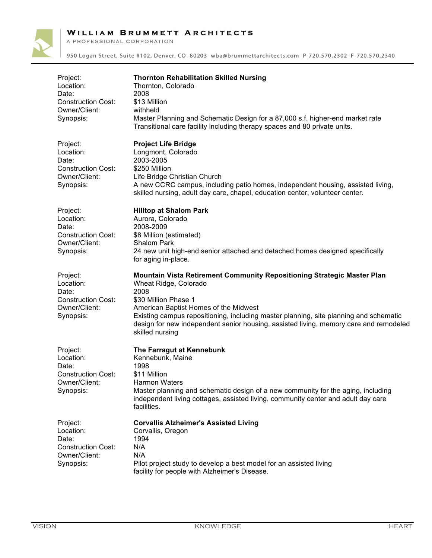

A PROFESSIONAL CORPORATION

| Project:<br>Location:<br>Date:<br><b>Construction Cost:</b><br>Owner/Client:<br>Synopsis: | <b>Thornton Rehabilitation Skilled Nursing</b><br>Thornton, Colorado<br>2008<br>\$13 Million<br>withheld<br>Master Planning and Schematic Design for a 87,000 s.f. higher-end market rate<br>Transitional care facility including therapy spaces and 80 private units.                                                                                                         |
|-------------------------------------------------------------------------------------------|--------------------------------------------------------------------------------------------------------------------------------------------------------------------------------------------------------------------------------------------------------------------------------------------------------------------------------------------------------------------------------|
| Project:<br>Location:<br>Date:<br><b>Construction Cost:</b><br>Owner/Client:<br>Synopsis: | <b>Project Life Bridge</b><br>Longmont, Colorado<br>2003-2005<br>\$250 Million<br>Life Bridge Christian Church<br>A new CCRC campus, including patio homes, independent housing, assisted living,<br>skilled nursing, adult day care, chapel, education center, volunteer center.                                                                                              |
| Project:<br>Location:<br>Date:<br><b>Construction Cost:</b><br>Owner/Client:<br>Synopsis: | <b>Hilltop at Shalom Park</b><br>Aurora, Colorado<br>2008-2009<br>\$8 Million (estimated)<br><b>Shalom Park</b><br>24 new unit high-end senior attached and detached homes designed specifically<br>for aging in-place.                                                                                                                                                        |
| Project:<br>Location:<br>Date:<br><b>Construction Cost:</b><br>Owner/Client:<br>Synopsis: | Mountain Vista Retirement Community Repositioning Strategic Master Plan<br>Wheat Ridge, Colorado<br>2008<br>\$30 Million Phase 1<br>American Baptist Homes of the Midwest<br>Existing campus repositioning, including master planning, site planning and schematic<br>design for new independent senior housing, assisted living, memory care and remodeled<br>skilled nursing |
| Project:<br>Location:<br>Date:<br><b>Construction Cost:</b><br>Owner/Client:<br>Synopsis: | The Farragut at Kennebunk<br>Kennebunk, Maine<br>1998<br>\$11 Million<br><b>Harmon Waters</b><br>Master planning and schematic design of a new community for the aging, including<br>independent living cottages, assisted living, community center and adult day care<br>facilities.                                                                                          |
| Project:<br>Location:<br>Date:<br><b>Construction Cost:</b><br>Owner/Client:<br>Synopsis: | <b>Corvallis Alzheimer's Assisted Living</b><br>Corvallis, Oregon<br>1994<br>N/A<br>N/A<br>Pilot project study to develop a best model for an assisted living<br>facility for people with Alzheimer's Disease.                                                                                                                                                                 |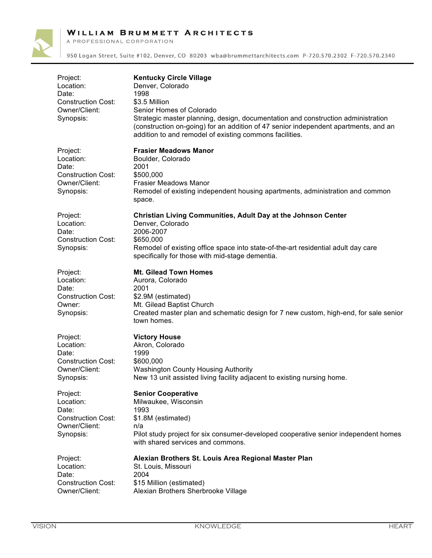A PROFESSIONAL CORPORATION



| Project:<br>Location:<br>Date:<br><b>Construction Cost:</b><br>Owner/Client:<br>Synopsis: | <b>Kentucky Circle Village</b><br>Denver, Colorado<br>1998<br>\$3.5 Million<br>Senior Homes of Colorado<br>Strategic master planning, design, documentation and construction administration<br>(construction on-going) for an addition of 47 senior independent apartments, and an<br>addition to and remodel of existing commons facilities. |
|-------------------------------------------------------------------------------------------|-----------------------------------------------------------------------------------------------------------------------------------------------------------------------------------------------------------------------------------------------------------------------------------------------------------------------------------------------|
| Project:<br>Location:<br>Date:<br><b>Construction Cost:</b><br>Owner/Client:<br>Synopsis: | <b>Frasier Meadows Manor</b><br>Boulder, Colorado<br>2001<br>\$500,000<br><b>Frasier Meadows Manor</b><br>Remodel of existing independent housing apartments, administration and common<br>space.                                                                                                                                             |
| Project:<br>Location:<br>Date:<br><b>Construction Cost:</b><br>Synopsis:                  | Christian Living Communities, Adult Day at the Johnson Center<br>Denver, Colorado<br>2006-2007<br>\$650,000<br>Remodel of existing office space into state-of-the-art residential adult day care<br>specifically for those with mid-stage dementia.                                                                                           |
| Project:<br>Location:<br>Date:<br><b>Construction Cost:</b><br>Owner:<br>Synopsis:        | <b>Mt. Gilead Town Homes</b><br>Aurora, Colorado<br>2001<br>\$2.9M (estimated)<br>Mt. Gilead Baptist Church<br>Created master plan and schematic design for 7 new custom, high-end, for sale senior<br>town homes.                                                                                                                            |
| Project:<br>Location:<br>Date:<br><b>Construction Cost:</b><br>Owner/Client:<br>Synopsis: | <b>Victory House</b><br>Akron, Colorado<br>1999<br>\$600,000<br><b>Washington County Housing Authority</b><br>New 13 unit assisted living facility adjacent to existing nursing home.                                                                                                                                                         |
| Project:<br>Location:<br>Date:<br><b>Construction Cost:</b><br>Owner/Client:<br>Synopsis: | <b>Senior Cooperative</b><br>Milwaukee, Wisconsin<br>1993<br>\$1.8M (estimated)<br>n/a<br>Pilot study project for six consumer-developed cooperative senior independent homes<br>with shared services and commons.                                                                                                                            |
| Project:<br>Location:<br>Date:<br><b>Construction Cost:</b><br>Owner/Client:              | Alexian Brothers St. Louis Area Regional Master Plan<br>St. Louis, Missouri<br>2004<br>\$15 Million (estimated)<br>Alexian Brothers Sherbrooke Village                                                                                                                                                                                        |